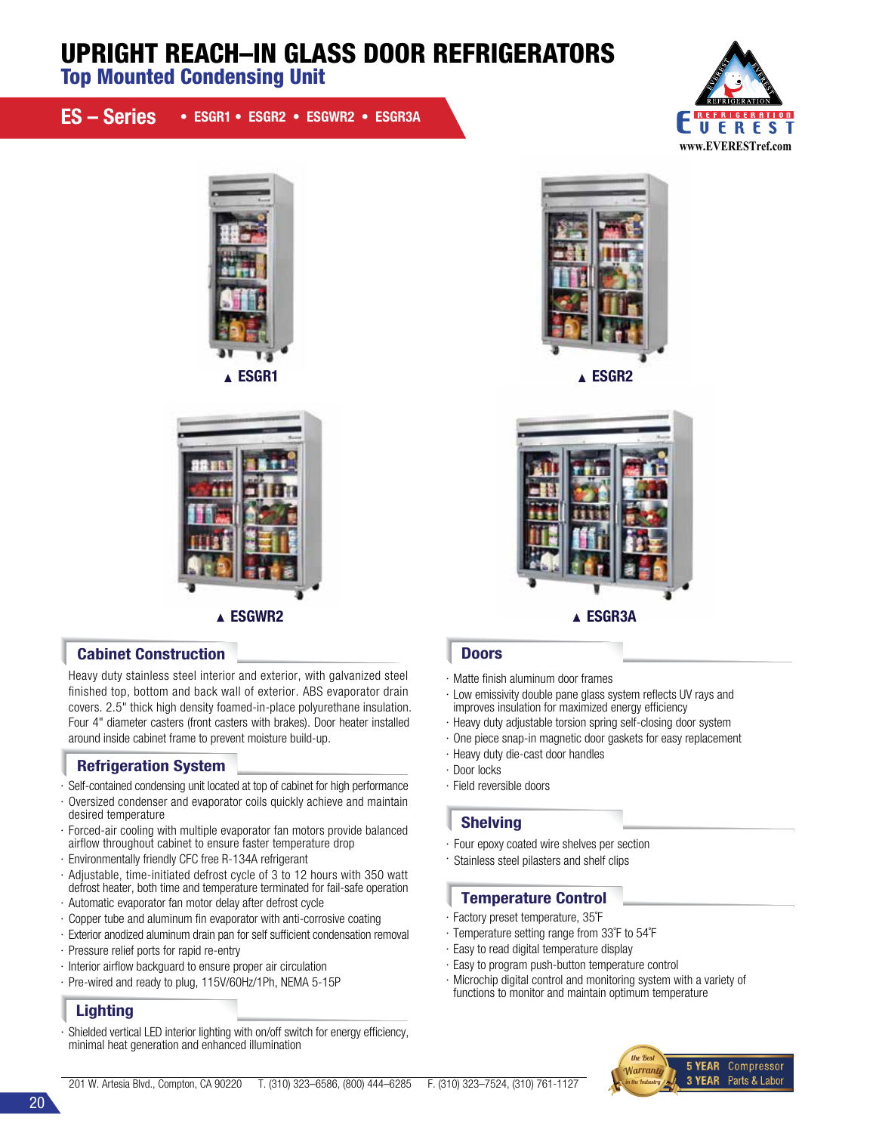# UPRIGHT REACH–IN GLASS DOOR REFRIGERATORS

Top Mounted Condensing Unit

|  | ES - Series • ESGR1 • ESGR2 • ESGWR2 • ESGR3A |
|--|-----------------------------------------------|
|--|-----------------------------------------------|







## Cabinet Construction **Doors Doors**

Heavy duty stainless steel interior and exterior, with galvanized steel finished top, bottom and back wall of exterior. ABS evaporator drain covers. 2.5" thick high density foamed-in-place polyurethane insulation. Four 4" diameter casters (front casters with brakes). Door heater installed around inside cabinet frame to prevent moisture build-up.

# Refrigeration System

- · Self-contained condensing unit located at top of cabinet for high performance
- · Oversized condenser and evaporator coils quickly achieve and maintain desired temperature
- · Forced-air cooling with multiple evaporator fan motors provide balanced airflow throughout cabinet to ensure faster temperature drop
- · Environmentally friendly CFC free R-134A refrigerant
- · Adjustable, time-initiated defrost cycle of 3 to 12 hours with 350 watt defrost heater, both time and temperature terminated for fail-safe operation
- · Automatic evaporator fan motor delay after defrost cycle
- · Copper tube and aluminum fin evaporator with anti-corrosive coating
- · Exterior anodized aluminum drain pan for self sufficient condensation removal
- · Pressure relief ports for rapid re-entry
- · Interior airflow backguard to ensure proper air circulation
- · Pre-wired and ready to plug, 115V/60Hz/1Ph, NEMA 5-15P

# **Lighting**

Shielded vertical LED interior lighting with on/off switch for energy efficiency, minimal heat generation and enhanced illumination





- · Matte finish aluminum door frames
- · Low emissivity double pane glass system reflects UV rays and improves insulation for maximized energy efficiency
- · Heavy duty adjustable torsion spring self-closing door system
- · One piece snap-in magnetic door gaskets for easy replacement
- · Heavy duty die-cast door handles
- · Door locks
- · Field reversible doors

### Shelving

- · Four epoxy coated wire shelves per section
- · Stainless steel pilasters and shelf clips

### Temperature Control

- · Factory preset temperature, 35˚F
- · Temperature setting range from 33˚F to 54˚F
- · Easy to read digital temperature display
- · Easy to program push-button temperature control
- · Microchip digital control and monitoring system with a variety of functions to monitor and maintain optimum temperature